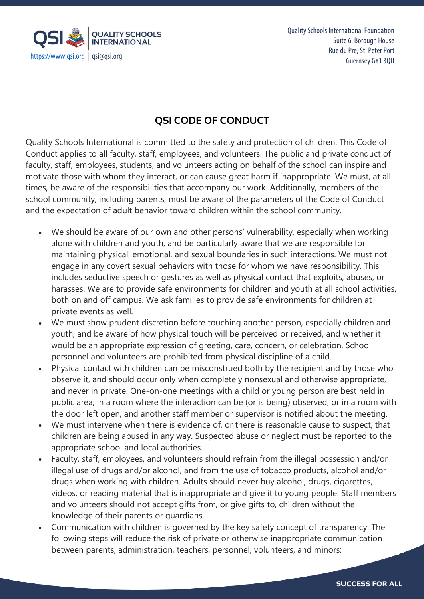

Quality Schools International Foundation Suite 6, Borough House Rue du Pre, St. Peter Port

## **QSI CODE OF CONDUCT**

Quality Schools International is committed to the safety and protection of children. This Code of Conduct applies to all faculty, staff, employees, and volunteers. The public and private conduct of faculty, staff, employees, students, and volunteers acting on behalf of the school can inspire and motivate those with whom they interact, or can cause great harm if inappropriate. We must, at all times, be aware of the responsibilities that accompany our work. Additionally, members of the school community, including parents, must be aware of the parameters of the Code of Conduct and the expectation of adult behavior toward children within the school community.

- We should be aware of our own and other persons' vulnerability, especially when working alone with children and youth, and be particularly aware that we are responsible for maintaining physical, emotional, and sexual boundaries in such interactions. We must not engage in any covert sexual behaviors with those for whom we have responsibility. This includes seductive speech or gestures as well as physical contact that exploits, abuses, or harasses. We are to provide safe environments for children and youth at all school activities, both on and off campus. We ask families to provide safe environments for children at private events as well.
- We must show prudent discretion before touching another person, especially children and youth, and be aware of how physical touch will be perceived or received, and whether it would be an appropriate expression of greeting, care, concern, or celebration. School personnel and volunteers are prohibited from physical discipline of a child.
- Physical contact with children can be misconstrued both by the recipient and by those who observe it, and should occur only when completely nonsexual and otherwise appropriate, and never in private. One-on-one meetings with a child or young person are best held in public area; in a room where the interaction can be (or is being) observed; or in a room with the door left open, and another staff member or supervisor is notified about the meeting.
- We must intervene when there is evidence of, or there is reasonable cause to suspect, that children are being abused in any way. Suspected abuse or neglect must be reported to the appropriate school and local authorities.
- Faculty, staff, employees, and volunteers should refrain from the illegal possession and/or illegal use of drugs and/or alcohol, and from the use of tobacco products, alcohol and/or drugs when working with children. Adults should never buy alcohol, drugs, cigarettes, videos, or reading material that is inappropriate and give it to young people. Staff members and volunteers should not accept gifts from, or give gifts to, children without the knowledge of their parents or guardians.
- Communication with children is governed by the key safety concept of transparency. The following steps will reduce the risk of private or otherwise inappropriate communication between parents, administration, teachers, personnel, volunteers, and minors: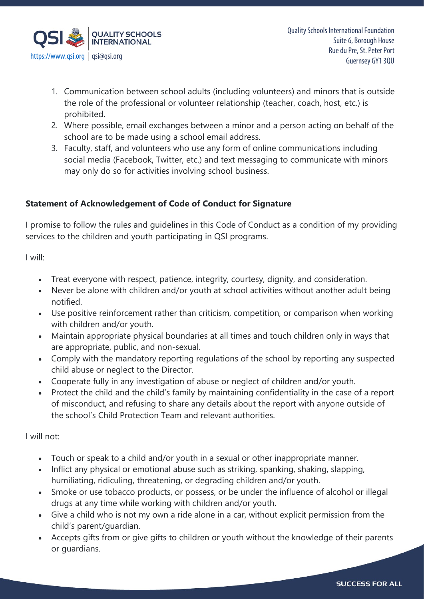

- 1. Communication between school adults (including volunteers) and minors that is outside the role of the professional or volunteer relationship (teacher, coach, host, etc.) is prohibited.
- 2. Where possible, email exchanges between a minor and a person acting on behalf of the school are to be made using a school email address.
- 3. Faculty, staff, and volunteers who use any form of online communications including social media (Facebook, Twitter, etc.) and text messaging to communicate with minors may only do so for activities involving school business.

## **Statement of Acknowledgement of Code of Conduct for Signature**

I promise to follow the rules and guidelines in this Code of Conduct as a condition of my providing services to the children and youth participating in QSI programs.

I will:

- Treat everyone with respect, patience, integrity, courtesy, dignity, and consideration.
- Never be alone with children and/or youth at school activities without another adult being notified.
- Use positive reinforcement rather than criticism, competition, or comparison when working with children and/or youth.
- Maintain appropriate physical boundaries at all times and touch children only in ways that are appropriate, public, and non-sexual.
- Comply with the mandatory reporting regulations of the school by reporting any suspected child abuse or neglect to the Director.
- Cooperate fully in any investigation of abuse or neglect of children and/or youth.
- Protect the child and the child's family by maintaining confidentiality in the case of a report of misconduct, and refusing to share any details about the report with anyone outside of the school's Child Protection Team and relevant authorities.

I will not:

- Touch or speak to a child and/or youth in a sexual or other inappropriate manner.
- Inflict any physical or emotional abuse such as striking, spanking, shaking, slapping, humiliating, ridiculing, threatening, or degrading children and/or youth.
- Smoke or use tobacco products, or possess, or be under the influence of alcohol or illegal drugs at any time while working with children and/or youth.
- Give a child who is not my own a ride alone in a car, without explicit permission from the child's parent/guardian.
- Accepts gifts from or give gifts to children or youth without the knowledge of their parents or guardians.